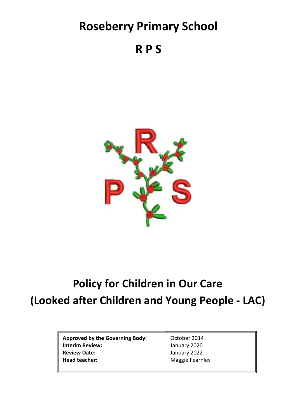# **Roseberry Primary School**

**R P S**



# **Policy for Children in Our Care (Looked after Children and Young People - LAC)**

Approved by the Governing Body: 0ctober 2014 **Interim Review:** January 2020 **Review Date:** January 2022 Head teacher: Maggie Fearnley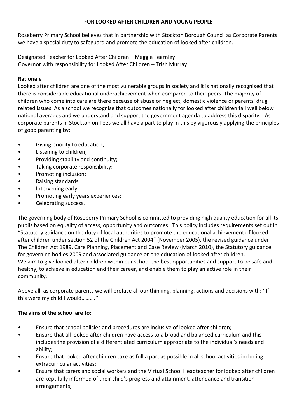#### **FOR LOOKED AFTER CHILDREN AND YOUNG PEOPLE**

Roseberry Primary School believes that in partnership with Stockton Borough Council as Corporate Parents we have a special duty to safeguard and promote the education of looked after children.

Designated Teacher for Looked After Children – Maggie Fearnley Governor with responsibility for Looked After Children – Trish Murray

### **Rationale**

Looked after children are one of the most vulnerable groups in society and it is nationally recognised that there is considerable educational underachievement when compared to their peers. The majority of children who come into care are there because of abuse or neglect, domestic violence or parents' drug related issues. As a school we recognise that outcomes nationally for looked after children fall well below national averages and we understand and support the government agenda to address this disparity. As corporate parents in Stockton on Tees we all have a part to play in this by vigorously applying the principles of good parenting by:

- Giving priority to education;
- Listening to children;
- Providing stability and continuity;
- Taking corporate responsibility;
- Promoting inclusion;
- Raising standards;
- Intervening early;
- Promoting early years experiences;
- Celebrating success.

The governing body of Roseberry Primary School is committed to providing high quality education for all its pupils based on equality of access, opportunity and outcomes. This policy includes requirements set out in "Statutory guidance on the duty of local authorities to promote the educational achievement of looked after children under section 52 of the Children Act 2004" (November 2005), the revised guidance under The Children Act 1989, Care Planning, Placement and Case Review (March 2010), the Statutory guidance for governing bodies 2009 and associated guidance on the education of looked after children. We aim to give looked after children within our school the best opportunities and support to be safe and healthy, to achieve in education and their career, and enable them to play an active role in their community.

Above all, as corporate parents we will preface all our thinking, planning, actions and decisions with: ''If this were my child I would……….''

#### **The aims of the school are to:**

- Ensure that school policies and procedures are inclusive of looked after children;
- Ensure that all looked after children have access to a broad and balanced curriculum and this includes the provision of a differentiated curriculum appropriate to the individual's needs and ability;
- Ensure that looked after children take as full a part as possible in all school activities including extracurricular activities;
- Ensure that carers and social workers and the Virtual School Headteacher for looked after children are kept fully informed of their child's progress and attainment, attendance and transition arrangements;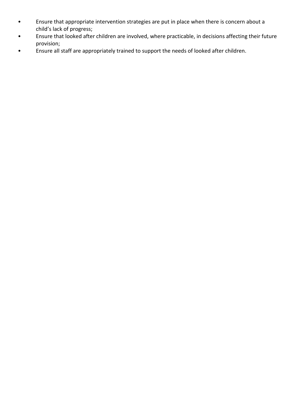- Ensure that appropriate intervention strategies are put in place when there is concern about a child's lack of progress;
- Ensure that looked after children are involved, where practicable, in decisions affecting their future provision;
- Ensure all staff are appropriately trained to support the needs of looked after children.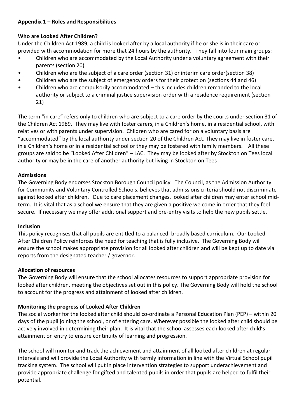#### **Appendix 1 – Roles and Responsibilities**

#### **Who are Looked After Children?**

Under the Children Act 1989, a child is looked after by a local authority if he or she is in their care or provided with accommodation for more that 24 hours by the authority. They fall into four main groups:

- Children who are accommodated by the Local Authority under a voluntary agreement with their parents (section 20)
- Children who are the subject of a care order (section 31) or interim care order(section 38)
- Children who are the subject of emergency orders for their protection (sections 44 and 46)
- Children who are compulsorily accommodated this includes children remanded to the local authority or subject to a criminal justice supervision order with a residence requirement (section 21)

The term "in care" refers only to children who are subject to a care order by the courts under section 31 of the Children Act 1989. They may live with foster carers, in a Children's home, in a residential school, with relatives or with parents under supervision. Children who are cared for on a voluntary basis are "accommodated" by the local authority under section 20 of the Children Act. They may live in foster care, in a Children's home or in a residential school or they may be fostered with family members. All these groups are said to be "Looked After Children" – LAC. They may be looked after by Stockton on Tees local authority or may be in the care of another authority but living in Stockton on Tees

#### **Admissions**

The Governing Body endorses Stockton Borough Council policy. The Council, as the Admission Authority for Community and Voluntary Controlled Schools, believes that admissions criteria should not discriminate against looked after children. Due to care placement changes, looked after children may enter school midterm. It is vital that as a school we ensure that they are given a positive welcome in order that they feel secure. If necessary we may offer additional support and pre-entry visits to help the new pupils settle.

#### **Inclusion**

This policy recognises that all pupils are entitled to a balanced, broadly based curriculum. Our Looked After Children Policy reinforces the need for teaching that is fully inclusive. The Governing Body will ensure the school makes appropriate provision for all looked after children and will be kept up to date via reports from the designated teacher / governor.

#### **Allocation of resources**

The Governing Body will ensure that the school allocates resources to support appropriate provision for looked after children, meeting the objectives set out in this policy. The Governing Body will hold the school to account for the progress and attainment of looked after children.

# **Monitoring the progress of Looked After Children**

The social worker for the looked after child should co-ordinate a Personal Education Plan (PEP) – within 20 days of the pupil joining the school, or of entering care. Wherever possible the looked after child should be actively involved in determining their plan. It is vital that the school assesses each looked after child's attainment on entry to ensure continuity of learning and progression.

The school will monitor and track the achievement and attainment of all looked after children at regular intervals and will provide the Local Authority with termly information in line with the Virtual School pupil tracking system. The school will put in place intervention strategies to support underachievement and provide appropriate challenge for gifted and talented pupils in order that pupils are helped to fulfil their potential.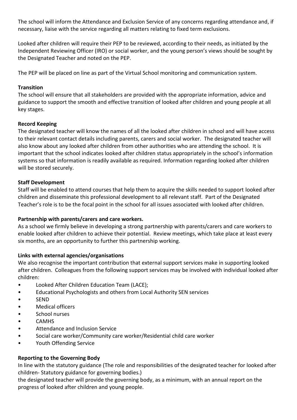The school will inform the Attendance and Exclusion Service of any concerns regarding attendance and, if necessary, liaise with the service regarding all matters relating to fixed term exclusions.

Looked after children will require their PEP to be reviewed, according to their needs, as initiated by the Independent Reviewing Officer (IRO) or social worker, and the young person's views should be sought by the Designated Teacher and noted on the PEP.

The PEP will be placed on line as part of the Virtual School monitoring and communication system.

#### **Transition**

The school will ensure that all stakeholders are provided with the appropriate information, advice and guidance to support the smooth and effective transition of looked after children and young people at all key stages.

#### **Record Keeping**

The designated teacher will know the names of all the looked after children in school and will have access to their relevant contact details including parents, carers and social worker. The designated teacher will also know about any looked after children from other authorities who are attending the school. It is important that the school indicates looked after children status appropriately in the school's information systems so that information is readily available as required. Information regarding looked after children will be stored securely.

#### **Staff Development**

Staff will be enabled to attend courses that help them to acquire the skills needed to support looked after children and disseminate this professional development to all relevant staff. Part of the Designated Teacher's role is to be the focal point in the school for all issues associated with looked after children.

#### **Partnership with parents/carers and care workers.**

As a school we firmly believe in developing a strong partnership with parents/carers and care workers to enable looked after children to achieve their potential. Review meetings, which take place at least every six months, are an opportunity to further this partnership working.

#### **Links with external agencies/organisations**

We also recognise the important contribution that external support services make in supporting looked after children. Colleagues from the following support services may be involved with individual looked after children:

- Looked After Children Education Team (LACE);
- Educational Psychologists and others from Local Authority SEN services
- SEND
- Medical officers
- School nurses
- CAMHS
- Attendance and Inclusion Service
- Social care worker/Community care worker/Residential child care worker
- Youth Offending Service

# **Reporting to the Governing Body**

In line with the statutory guidance (The role and responsibilities of the designated teacher for looked after children- Statutory guidance for governing bodies.)

the designated teacher will provide the governing body, as a minimum, with an annual report on the progress of looked after children and young people.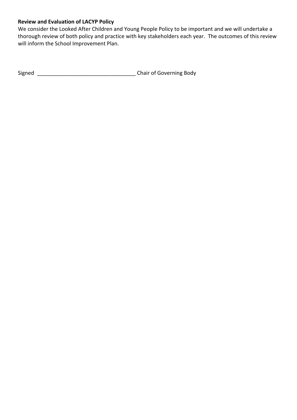# **Review and Evaluation of LACYP Policy**

We consider the Looked After Children and Young People Policy to be important and we will undertake a thorough review of both policy and practice with key stakeholders each year. The outcomes of this review will inform the School Improvement Plan.

Signed \_\_\_\_\_\_\_\_\_\_\_\_\_\_\_\_\_\_\_\_\_\_\_\_\_\_\_\_\_\_\_\_\_ Chair of Governing Body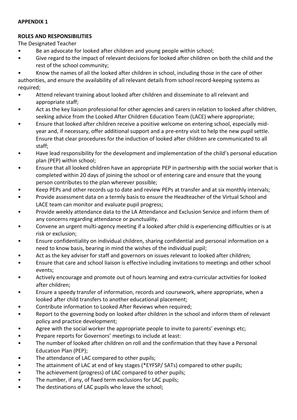#### **APPENDIX 1**

#### **ROLES AND RESPONSIBILITIES**

The Designated Teacher

- Be an advocate for looked after children and young people within school;
- Give regard to the impact of relevant decisions for looked after children on both the child and the rest of the school community;

• Know the names of all the looked after children in school, including those in the care of other authorities, and ensure the availability of all relevant details from school record-keeping systems as required;

- Attend relevant training about looked after children and disseminate to all relevant and appropriate staff;
- Act as the key liaison professional for other agencies and carers in relation to looked after children, seeking advice from the Looked After Children Education Team (LACE) where appropriate;
- Ensure that looked after children receive a positive welcome on entering school, especially midyear and, if necessary, offer additional support and a pre-entry visit to help the new pupil settle. Ensure that clear procedures for the induction of looked after children are communicated to all staff;
- Have lead responsibility for the development and implementation of the child's personal education plan (PEP) within school;
- Ensure that all looked children have an appropriate PEP in partnership with the social worker that is completed within 20 days of joining the school or of entering care and ensure that the young person contributes to the plan wherever possible;
- Keep PEPs and other records up to date and review PEPs at transfer and at six monthly intervals;
- Provide assessment data on a termly basis to ensure the Headteacher of the Virtual School and LACE team can monitor and evaluate pupil progress;
- Provide weekly attendance data to the LA Attendance and Exclusion Service and inform them of any concerns regarding attendance or punctuality.
- Convene an urgent multi-agency meeting if a looked after child is experiencing difficulties or is at risk or exclusion;
- Ensure confidentiality on individual children, sharing confidential and personal information on a need to know basis, bearing in mind the wishes of the individual pupil;
- Act as the key adviser for staff and governors on issues relevant to looked after children;
- Ensure that care and school liaison is effective including invitations to meetings and other school events;
- Actively encourage and promote out of hours learning and extra-curricular activities for looked after children;
- Ensure a speedy transfer of information, records and coursework, where appropriate, when a looked after child transfers to another educational placement;
- Contribute information to Looked After Reviews when required;
- Report to the governing body on looked after children in the school and inform them of relevant policy and practice development;
- Agree with the social worker the appropriate people to invite to parents' evenings etc;
- Prepare reports for Governors' meetings to include at least:
- The number of looked after children on roll and the confirmation that they have a Personal Education Plan (PEP);
- The attendance of LAC compared to other pupils;
- The attainment of LAC at end of key stages (\*EYFSP/ SATs) compared to other pupils;
- The achievement (progress) of LAC compared to other pupils;
- The number, if any, of fixed term exclusions for LAC pupils;
- The destinations of LAC pupils who leave the school;